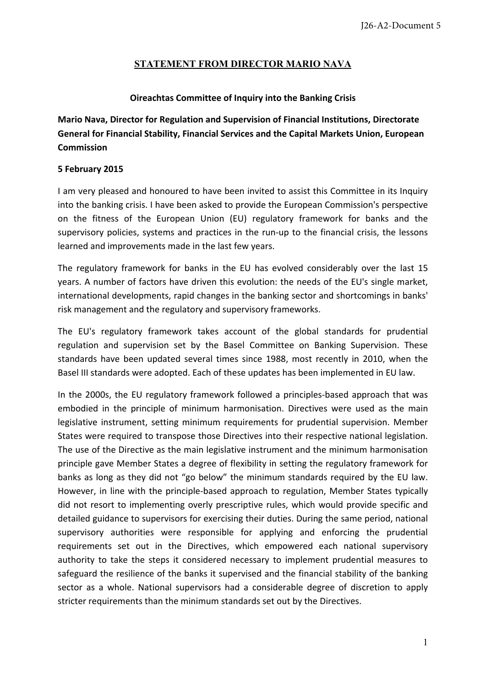## **STATEMENT FROM DIRECTOR MARIO NAVA**

## **Oireachtas Committee of Inquiry into the Banking Crisis**

**Mario Nava, Director for Regulation and Supervision of Financial Institutions, Directorate General for Financial Stability, Financial Services and the Capital Markets Union, European Commission** 

## **5 February 2015**

I am very pleased and honoured to have been invited to assist this Committee in its Inquiry into the banking crisis. I have been asked to provide the European Commission's perspective on the fitness of the European Union (EU) regulatory framework for banks and the supervisory policies, systems and practices in the run-up to the financial crisis, the lessons learned and improvements made in the last few years.

The regulatory framework for banks in the EU has evolved considerably over the last 15 years. A number of factors have driven this evolution: the needs of the EU's single market, international developments, rapid changes in the banking sector and shortcomings in banks' risk management and the regulatory and supervisory frameworks.

The EU's regulatory framework takes account of the global standards for prudential regulation and supervision set by the Basel Committee on Banking Supervision. These standards have been updated several times since 1988, most recently in 2010, when the Basel III standards were adopted. Each of these updates has been implemented in EU law.

In the 2000s, the EU regulatory framework followed a principles-based approach that was embodied in the principle of minimum harmonisation. Directives were used as the main legislative instrument, setting minimum requirements for prudential supervision. Member States were required to transpose those Directives into their respective national legislation. The use of the Directive as the main legislative instrument and the minimum harmonisation principle gave Member States a degree of flexibility in setting the regulatory framework for banks as long as they did not "go below" the minimum standards required by the EU law. However, in line with the principle-based approach to regulation, Member States typically did not resort to implementing overly prescriptive rules, which would provide specific and detailed guidance to supervisors for exercising their duties. During the same period, national supervisory authorities were responsible for applying and enforcing the prudential requirements set out in the Directives, which empowered each national supervisory authority to take the steps it considered necessary to implement prudential measures to safeguard the resilience of the banks it supervised and the financial stability of the banking sector as a whole. National supervisors had a considerable degree of discretion to apply stricter requirements than the minimum standards set out by the Directives.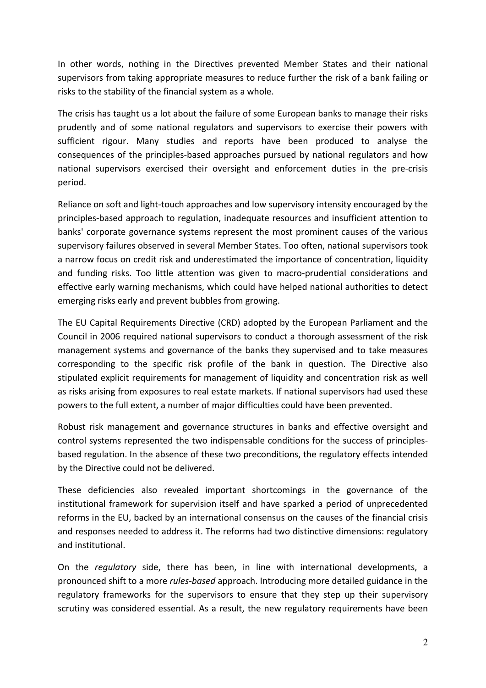In other words, nothing in the Directives prevented Member States and their national supervisors from taking appropriate measures to reduce further the risk of a bank failing or risks to the stability of the financial system as a whole.

The crisis has taught us a lot about the failure of some European banks to manage their risks prudently and of some national regulators and supervisors to exercise their powers with sufficient rigour. Many studies and reports have been produced to analyse the consequences of the principles-based approaches pursued by national regulators and how national supervisors exercised their oversight and enforcement duties in the pre-crisis period.

Reliance on soft and light-touch approaches and low supervisory intensity encouraged by the principles-based approach to regulation, inadequate resources and insufficient attention to banks' corporate governance systems represent the most prominent causes of the various supervisory failures observed in several Member States. Too often, national supervisors took a narrow focus on credit risk and underestimated the importance of concentration, liquidity and funding risks. Too little attention was given to macro-prudential considerations and effective early warning mechanisms, which could have helped national authorities to detect emerging risks early and prevent bubbles from growing.

The EU Capital Requirements Directive (CRD) adopted by the European Parliament and the Council in 2006 required national supervisors to conduct a thorough assessment of the risk management systems and governance of the banks they supervised and to take measures corresponding to the specific risk profile of the bank in question. The Directive also stipulated explicit requirements for management of liquidity and concentration risk as well as risks arising from exposures to real estate markets. If national supervisors had used these powers to the full extent, a number of major difficulties could have been prevented.

Robust risk management and governance structures in banks and effective oversight and control systems represented the two indispensable conditions for the success of principlesbased regulation. In the absence of these two preconditions, the regulatory effects intended by the Directive could not be delivered.

These deficiencies also revealed important shortcomings in the governance of the institutional framework for supervision itself and have sparked a period of unprecedented reforms in the EU, backed by an international consensus on the causes of the financial crisis and responses needed to address it. The reforms had two distinctive dimensions: regulatory and institutional.

On the *regulatory* side, there has been, in line with international developments, a pronounced shift to a more *rules-based* approach. Introducing more detailed guidance in the regulatory frameworks for the supervisors to ensure that they step up their supervisory scrutiny was considered essential. As a result, the new regulatory requirements have been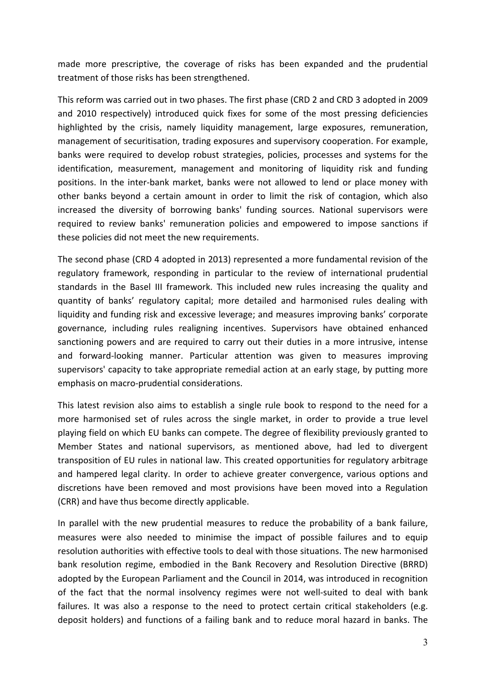made more prescriptive, the coverage of risks has been expanded and the prudential treatment of those risks has been strengthened.

This reform was carried out in two phases. The first phase (CRD 2 and CRD 3 adopted in 2009 and 2010 respectively) introduced quick fixes for some of the most pressing deficiencies highlighted by the crisis, namely liquidity management, large exposures, remuneration, management of securitisation, trading exposures and supervisory cooperation. For example, banks were required to develop robust strategies, policies, processes and systems for the identification, measurement, management and monitoring of liquidity risk and funding positions. In the inter-bank market, banks were not allowed to lend or place money with other banks beyond a certain amount in order to limit the risk of contagion, which also increased the diversity of borrowing banks' funding sources. National supervisors were required to review banks' remuneration policies and empowered to impose sanctions if these policies did not meet the new requirements.

The second phase (CRD 4 adopted in 2013) represented a more fundamental revision of the regulatory framework, responding in particular to the review of international prudential standards in the Basel III framework. This included new rules increasing the quality and quantity of banks' regulatory capital; more detailed and harmonised rules dealing with liquidity and funding risk and excessive leverage; and measures improving banks' corporate governance, including rules realigning incentives. Supervisors have obtained enhanced sanctioning powers and are required to carry out their duties in a more intrusive, intense and forward-looking manner. Particular attention was given to measures improving supervisors' capacity to take appropriate remedial action at an early stage, by putting more emphasis on macro-prudential considerations.

This latest revision also aims to establish a single rule book to respond to the need for a more harmonised set of rules across the single market, in order to provide a true level playing field on which EU banks can compete. The degree of flexibility previously granted to Member States and national supervisors, as mentioned above, had led to divergent transposition of EU rules in national law. This created opportunities for regulatory arbitrage and hampered legal clarity. In order to achieve greater convergence, various options and discretions have been removed and most provisions have been moved into a Regulation (CRR) and have thus become directly applicable.

In parallel with the new prudential measures to reduce the probability of a bank failure, measures were also needed to minimise the impact of possible failures and to equip resolution authorities with effective tools to deal with those situations. The new harmonised bank resolution regime, embodied in the Bank Recovery and Resolution Directive (BRRD) adopted by the European Parliament and the Council in 2014, was introduced in recognition of the fact that the normal insolvency regimes were not well-suited to deal with bank failures. It was also a response to the need to protect certain critical stakeholders (e.g. deposit holders) and functions of a failing bank and to reduce moral hazard in banks. The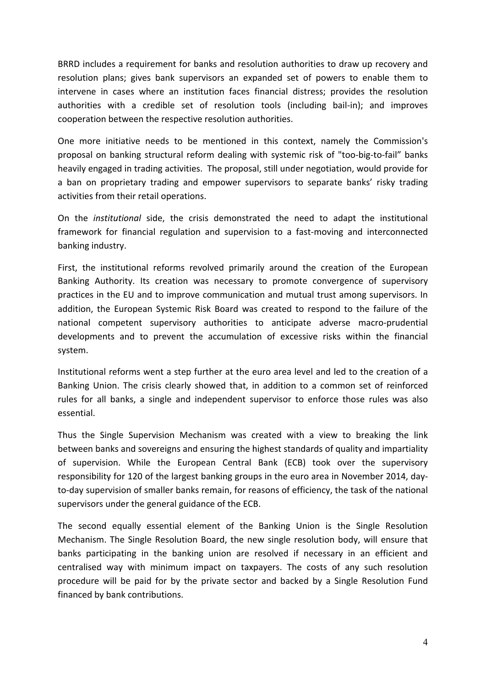BRRD includes a requirement for banks and resolution authorities to draw up recovery and resolution plans; gives bank supervisors an expanded set of powers to enable them to intervene in cases where an institution faces financial distress; provides the resolution authorities with a credible set of resolution tools (including bail-in); and improves cooperation between the respective resolution authorities.

One more initiative needs to be mentioned in this context, namely the Commission's proposal on banking structural reform dealing with systemic risk of "too-big-to-fail" banks heavily engaged in trading activities. The proposal, still under negotiation, would provide for a ban on proprietary trading and empower supervisors to separate banks' risky trading activities from their retail operations.

On the *institutional* side, the crisis demonstrated the need to adapt the institutional framework for financial regulation and supervision to a fast-moving and interconnected banking industry.

First, the institutional reforms revolved primarily around the creation of the European Banking Authority. Its creation was necessary to promote convergence of supervisory practices in the EU and to improve communication and mutual trust among supervisors. In addition, the European Systemic Risk Board was created to respond to the failure of the national competent supervisory authorities to anticipate adverse macro-prudential developments and to prevent the accumulation of excessive risks within the financial system.

Institutional reforms went a step further at the euro area level and led to the creation of a Banking Union. The crisis clearly showed that, in addition to a common set of reinforced rules for all banks, a single and independent supervisor to enforce those rules was also essential.

Thus the Single Supervision Mechanism was created with a view to breaking the link between banks and sovereigns and ensuring the highest standards of quality and impartiality of supervision. While the European Central Bank (ECB) took over the supervisory responsibility for 120 of the largest banking groups in the euro area in November 2014, dayto-day supervision of smaller banks remain, for reasons of efficiency, the task of the national supervisors under the general guidance of the ECB.

The second equally essential element of the Banking Union is the Single Resolution Mechanism. The Single Resolution Board, the new single resolution body, will ensure that banks participating in the banking union are resolved if necessary in an efficient and centralised way with minimum impact on taxpayers. The costs of any such resolution procedure will be paid for by the private sector and backed by a Single Resolution Fund financed by bank contributions.